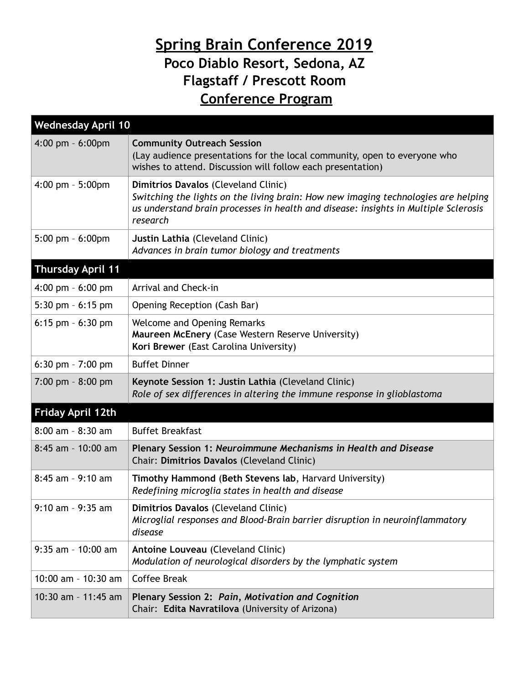## **Spring Brain Conference 2019 Poco Diablo Resort, Sedona, AZ Flagstaff / Prescott Room Conference Program**

| <b>Wednesday April 10</b>           |                                                                                                                                                                                                                               |  |
|-------------------------------------|-------------------------------------------------------------------------------------------------------------------------------------------------------------------------------------------------------------------------------|--|
| $4:00$ pm $-6:00$ pm                | <b>Community Outreach Session</b><br>(Lay audience presentations for the local community, open to everyone who<br>wishes to attend. Discussion will follow each presentation)                                                 |  |
| 4:00 pm - 5:00pm                    | Dimitrios Davalos (Cleveland Clinic)<br>Switching the lights on the living brain: How new imaging technologies are helping<br>us understand brain processes in health and disease: insights in Multiple Sclerosis<br>research |  |
| $5:00$ pm $-6:00$ pm                | Justin Lathia (Cleveland Clinic)<br>Advances in brain tumor biology and treatments                                                                                                                                            |  |
| <b>Thursday April 11</b>            |                                                                                                                                                                                                                               |  |
| $4:00 \text{ pm} - 6:00 \text{ pm}$ | Arrival and Check-in                                                                                                                                                                                                          |  |
| 5:30 pm $-6:15$ pm                  | Opening Reception (Cash Bar)                                                                                                                                                                                                  |  |
| 6:15 pm $-6:30$ pm                  | <b>Welcome and Opening Remarks</b><br>Maureen McEnery (Case Western Reserve University)<br>Kori Brewer (East Carolina University)                                                                                             |  |
| 6:30 pm - 7:00 pm                   | <b>Buffet Dinner</b>                                                                                                                                                                                                          |  |
| $7:00$ pm $-8:00$ pm                | Keynote Session 1: Justin Lathia (Cleveland Clinic)<br>Role of sex differences in altering the immune response in glioblastoma                                                                                                |  |
| <b>Friday April 12th</b>            |                                                                                                                                                                                                                               |  |
| $8:00$ am - $8:30$ am               | <b>Buffet Breakfast</b>                                                                                                                                                                                                       |  |
| $8:45$ am - 10:00 am                | Plenary Session 1: Neuroimmune Mechanisms in Health and Disease<br>Chair: Dimitrios Davalos (Cleveland Clinic)                                                                                                                |  |
| 8:45 am - 9:10 am                   | Timothy Hammond (Beth Stevens lab, Harvard University)<br>Redefining microglia states in health and disease                                                                                                                   |  |
| 9:10 am - 9:35 am                   | Dimitrios Davalos (Cleveland Clinic)<br>Microglial responses and Blood-Brain barrier disruption in neuroinflammatory<br>disease                                                                                               |  |
| $9:35$ am - 10:00 am                | Antoine Louveau (Cleveland Clinic)<br>Modulation of neurological disorders by the lymphatic system                                                                                                                            |  |
| 10:00 am - 10:30 am                 | <b>Coffee Break</b>                                                                                                                                                                                                           |  |
| 10:30 am - 11:45 am                 | Plenary Session 2: Pain, Motivation and Cognition<br>Chair: Edita Navratilova (University of Arizona)                                                                                                                         |  |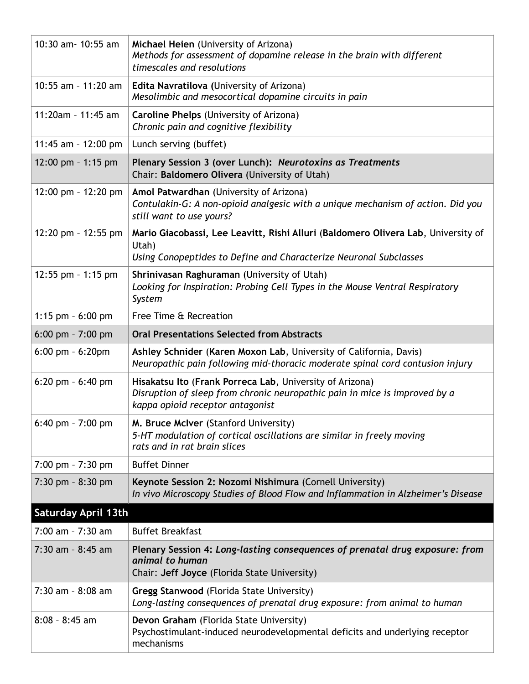| 10:30 am- 10:55 am    | Michael Heien (University of Arizona)<br>Methods for assessment of dopamine release in the brain with different<br>timescales and resolutions                              |  |
|-----------------------|----------------------------------------------------------------------------------------------------------------------------------------------------------------------------|--|
| 10:55 am - 11:20 am   | Edita Navratilova (University of Arizona)<br>Mesolimbic and mesocortical dopamine circuits in pain                                                                         |  |
| 11:20am - 11:45 am    | Caroline Phelps (University of Arizona)<br>Chronic pain and cognitive flexibility                                                                                          |  |
| 11:45 am - 12:00 pm   | Lunch serving (buffet)                                                                                                                                                     |  |
| 12:00 pm - 1:15 pm    | Plenary Session 3 (over Lunch): Neurotoxins as Treatments<br>Chair: Baldomero Olivera (University of Utah)                                                                 |  |
| 12:00 pm - 12:20 pm   | Amol Patwardhan (University of Arizona)<br>Contulakin-G: A non-opioid analgesic with a unique mechanism of action. Did you<br>still want to use yours?                     |  |
| 12:20 pm - 12:55 pm   | Mario Giacobassi, Lee Leavitt, Rishi Alluri (Baldomero Olivera Lab, University of<br>Utah)<br>Using Conopeptides to Define and Characterize Neuronal Subclasses            |  |
| 12:55 pm - 1:15 pm    | Shrinivasan Raghuraman (University of Utah)<br>Looking for Inspiration: Probing Cell Types in the Mouse Ventral Respiratory<br>System                                      |  |
| 1:15 pm $-6:00$ pm    | Free Time & Recreation                                                                                                                                                     |  |
| $6:00$ pm - $7:00$ pm | <b>Oral Presentations Selected from Abstracts</b>                                                                                                                          |  |
| $6:00$ pm $-6:20$ pm  | Ashley Schnider (Karen Moxon Lab, University of California, Davis)<br>Neuropathic pain following mid-thoracic moderate spinal cord contusion injury                        |  |
| $6:20$ pm $-6:40$ pm  | Hisakatsu Ito (Frank Porreca Lab, University of Arizona)<br>Disruption of sleep from chronic neuropathic pain in mice is improved by a<br>kappa opioid receptor antagonist |  |
| 6:40 pm - $7:00$ pm   | M. Bruce McIver (Stanford University)<br>5-HT modulation of cortical oscillations are similar in freely moving<br>rats and in rat brain slices                             |  |
| $7:00$ pm - $7:30$ pm | <b>Buffet Dinner</b>                                                                                                                                                       |  |
| 7:30 pm - 8:30 pm     | Keynote Session 2: Nozomi Nishimura (Cornell University)<br>In vivo Microscopy Studies of Blood Flow and Inflammation in Alzheimer's Disease                               |  |
| Saturday April 13th   |                                                                                                                                                                            |  |
| $7:00$ am - $7:30$ am | <b>Buffet Breakfast</b>                                                                                                                                                    |  |
| 7:30 am - 8:45 am     | Plenary Session 4: Long-lasting consequences of prenatal drug exposure: from<br>animal to human<br>Chair: Jeff Joyce (Florida State University)                            |  |
| 7:30 am - 8:08 am     | <b>Gregg Stanwood (Florida State University)</b><br>Long-lasting consequences of prenatal drug exposure: from animal to human                                              |  |
| $8:08 - 8:45$ am      | Devon Graham (Florida State University)<br>Psychostimulant-induced neurodevelopmental deficits and underlying receptor<br>mechanisms                                       |  |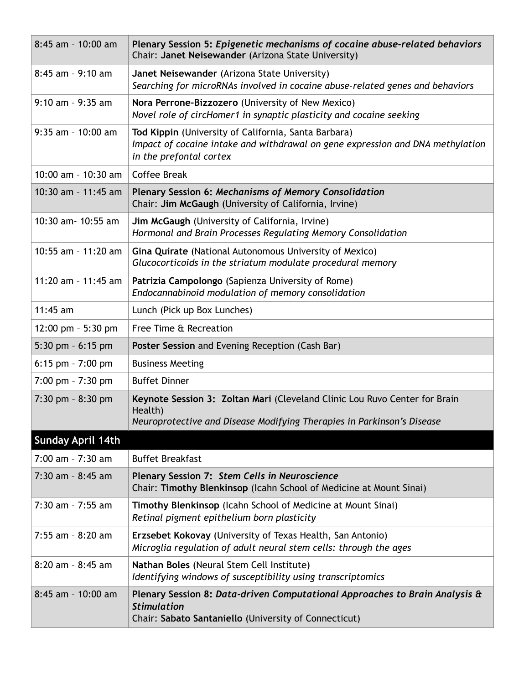| 8:45 am - 10:00 am       | Plenary Session 5: Epigenetic mechanisms of cocaine abuse-related behaviors<br>Chair: Janet Neisewander (Arizona State University)                                |  |
|--------------------------|-------------------------------------------------------------------------------------------------------------------------------------------------------------------|--|
| 8:45 am - 9:10 am        | Janet Neisewander (Arizona State University)<br>Searching for microRNAs involved in cocaine abuse-related genes and behaviors                                     |  |
| $9:10$ am - $9:35$ am    | Nora Perrone-Bizzozero (University of New Mexico)<br>Novel role of circHomer1 in synaptic plasticity and cocaine seeking                                          |  |
| $9:35$ am - 10:00 am     | Tod Kippin (University of California, Santa Barbara)<br>Impact of cocaine intake and withdrawal on gene expression and DNA methylation<br>in the prefontal cortex |  |
| 10:00 am - 10:30 am      | <b>Coffee Break</b>                                                                                                                                               |  |
| 10:30 am - 11:45 am      | Plenary Session 6: Mechanisms of Memory Consolidation<br>Chair: Jim McGaugh (University of California, Irvine)                                                    |  |
| 10:30 am - 10:55 am      | Jim McGaugh (University of California, Irvine)<br>Hormonal and Brain Processes Regulating Memory Consolidation                                                    |  |
| 10:55 am - 11:20 am      | Gina Quirate (National Autonomous University of Mexico)<br>Glucocorticoids in the striatum modulate procedural memory                                             |  |
| 11:20 am - 11:45 am      | Patrizia Campolongo (Sapienza University of Rome)<br>Endocannabinoid modulation of memory consolidation                                                           |  |
| $11:45$ am               | Lunch (Pick up Box Lunches)                                                                                                                                       |  |
| 12:00 pm $-$ 5:30 pm     | Free Time & Recreation                                                                                                                                            |  |
| 5:30 pm $-6:15$ pm       | Poster Session and Evening Reception (Cash Bar)                                                                                                                   |  |
| $6:15$ pm - $7:00$ pm    | <b>Business Meeting</b>                                                                                                                                           |  |
| 7:00 pm - 7:30 pm        | <b>Buffet Dinner</b>                                                                                                                                              |  |
| $7:30$ pm $-8:30$ pm     | Keynote Session 3: Zoltan Mari (Cleveland Clinic Lou Ruvo Center for Brain<br>Health)<br>Neuroprotective and Disease Modifying Therapies in Parkinson's Disease   |  |
| <b>Sunday April 14th</b> |                                                                                                                                                                   |  |
| $7:00$ am - $7:30$ am    | <b>Buffet Breakfast</b>                                                                                                                                           |  |
| 7:30 am - 8:45 am        | Plenary Session 7: Stem Cells in Neuroscience<br>Chair: Timothy Blenkinsop (Icahn School of Medicine at Mount Sinai)                                              |  |
| 7:30 am - 7:55 am        | Timothy Blenkinsop (Icahn School of Medicine at Mount Sinai)<br>Retinal pigment epithelium born plasticity                                                        |  |
| 7:55 am - 8:20 am        | Erzsebet Kokovay (University of Texas Health, San Antonio)<br>Microglia regulation of adult neural stem cells: through the ages                                   |  |
| $8:20$ am - $8:45$ am    | Nathan Boles (Neural Stem Cell Institute)<br>Identifying windows of susceptibility using transcriptomics                                                          |  |
| 8:45 am - 10:00 am       | Plenary Session 8: Data-driven Computational Approaches to Brain Analysis &<br><b>Stimulation</b><br>Chair: Sabato Santaniello (University of Connecticut)        |  |